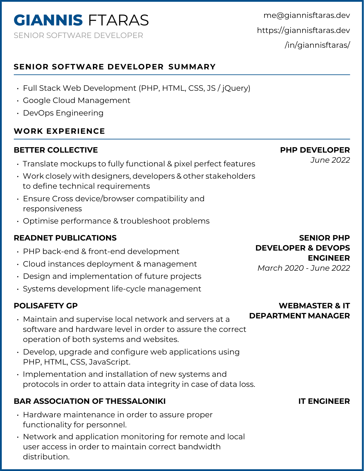me@giannisftaras.dev https://giannisftaras.dev /in/giannisftaras/

## **SENIOR SOFTWARE DEVELOPER SUMMARY**

- Full Stack Web Development (PHP, HTML, CSS, JS / jQuery)
- Google Cloud Management
- DevOps Engineering

## **WORK EXPERIENCE**

### **BETTER COLLECTIVE**

- Translate mockups to fully functional & pixel perfect features
- Work closely with designers, developers & other stakeholders to define technical requirements
- Ensure Cross device/browser compatibility and responsiveness
- Optimise performance & troubleshoot problems

## **READNET PUBLICATIONS**

- PHP back-end & front-end development
- Cloud instances deployment & management
- Design and implementation of future projects
- Systems development life-cycle management

### **POLISAFETY GP**

- Maintain and supervise local network and servers at a software and hardware level in order to assure the correct operation of both systems and websites.
- Develop, upgrade and configure web applications using PHP, HTML, CSS, JavaScript.
- Implementation and installation of new systems and protocols in order to attain data integrity in case of data loss.

### **BAR ASSOCIATION OF THESSALONIKI**

- Hardware maintenance in order to assure proper functionality for personnel.
- Network and application monitoring for remote and local user access in order to maintain correct bandwidth distribution.

**PHP DEVELOPER**

*June 2022*

# **WEBMASTER & IT DEPARTMENT MANAGER**

### **IT ENGINEER**

#### **SENIOR PHP DEVELOPER & DEVOPS ENGINEER**

*March 2020 - June 2022*